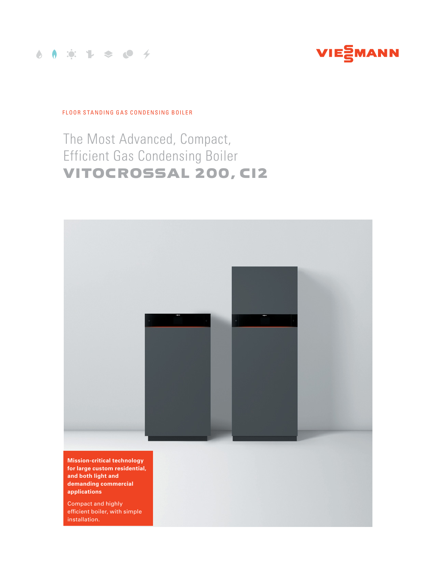



FLOOR STANDING GAS CONDENSING BOILER

# The Most Advanced, Compact, Efficient Gas Condensing Boiler VITOCROSSAL 200, CI2



**Mission-critical technology for large custom residential, and both light and demanding commercial applications**

Compact and highly efficient boiler, with simple installation.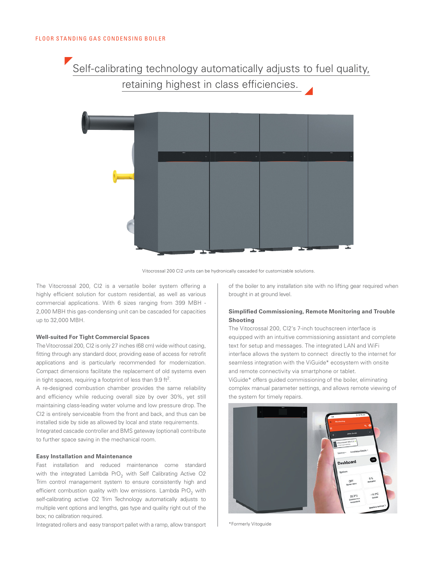Self-calibrating technology automatically adjusts to fuel quality, retaining highest in class efficiencies.



Vitocrossal 200 CI2 units can be hydronically cascaded for customizable solutions.

The Vitocrossal 200, CI2 is a versatile boiler system offering a highly efficient solution for custom residential, as well as various commercial applications. With 6 sizes ranging from 399 MBH - 2,000 MBH this gas-condensing unit can be cascaded for capacities up to 32,000 MBH.

#### **Well-suited For Tight Commercial Spaces**

The Vitocrossal 200, CI2 is only 27 inches (68 cm) wide without casing, fitting through any standard door, providing ease of access for retrofit applications and is particularly recommended for modernization. Compact dimensions facilitate the replacement of old systems even in tight spaces, requiring a footprint of less than 9.9 ft<sup>2</sup>.

A re-designed combustion chamber provides the same reliability and efficiency while reducing overall size by over 30%, yet still maintaining class-leading water volume and low pressure drop. The CI2 is entirely serviceable from the front and back, and thus can be installed side by side as allowed by local and state requirements. Integrated cascade controller and BMS gateway (optional) contribute to further space saving in the mechanical room.

# **Easy Installation and Maintenance**

Fast installation and reduced maintenance come standard with the integrated Lambda PrO<sub>2</sub> with Self Calibrating Active O2 Trim control management system to ensure consistently high and efficient combustion quality with low emissions. Lambda PrO<sub>2</sub> with self-calibrating active O2 Trim Technology automatically adjusts to multiple vent options and lengths, gas type and quality right out of the box; no calibration required.

Integrated rollers and easy transport pallet with a ramp, allow transport

of the boiler to any installation site with no lifting gear required when brought in at ground level.

# **Simplified Commissioning, Remote Monitoring and Trouble Shooting**

The Vitocrossal 200, CI2's 7-inch touchscreen interface is equipped with an intuitive commissioning assistant and complete text for setup and messages. The integrated LAN and WiFi interface allows the system to connect directly to the internet for seamless integration with the ViGuide\* ecosystem with onsite and remote connectivity via smartphone or tablet.

ViGuide\* offers guided commissioning of the boiler, eliminating complex manual parameter settings, and allows remote viewing of the system for timely repairs.



\*Formerly Vitoguide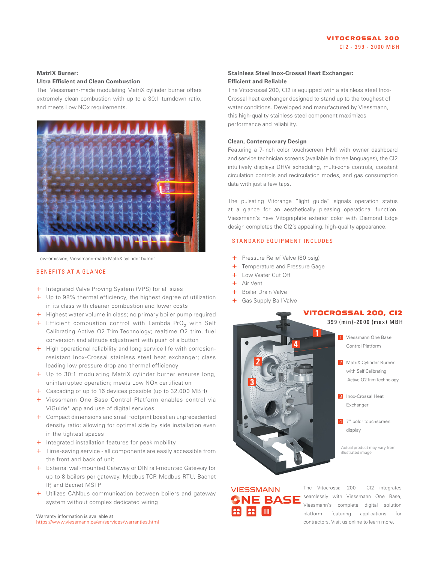### **MatriX Burner:**

### **Ultra Efficient and Clean Combustion**

The Viessmann-made modulating MatriX cylinder burner offers extremely clean combustion with up to a 30:1 turndown ratio, and meets Low NO<sub>x</sub> requirements.



Low-emission, Viessmann-made MatriX cylinder burner

#### BENEFITS AT A GLANCE

- + Integrated Valve Proving System (VPS) for all sizes
- + Up to 98% thermal efficiency, the highest degree of utilization in its class with cleaner combustion and lower costs
- + Highest water volume in class; no primary boiler pump required
- + Efficient combustion control with Lambda PrO<sub>2</sub> with Self Calibrating Active O2 Trim Technology; realtime O2 trim, fuel conversion and altitude adjustment with push of a button
- + High operational reliability and long service life with corrosionresistant Inox-Crossal stainless steel heat exchanger; class leading low pressure drop and thermal efficiency
- + Up to 30:1 modulating MatriX cylinder burner ensures long, uninterrupted operation; meets Low NOx certification
- + Cascading of up to 16 devices possible (up to 32,000 MBH)
- + Viessmann One Base Control Platform enables control via ViGuide\* app and use of digital services
- + Compact dimensions and small footprint boast an unprecedented density ratio; allowing for optimal side by side installation even in the tightest spaces
- + Integrated installation features for peak mobility
- + Time-saving service all components are easily accessible from the front and back of unit
- + External wall-mounted Gateway or DIN rail-mounted Gateway for up to 8 boilers per gateway. Modbus TCP, Modbus RTU, Bacnet IP, and Bacnet MSTP
- + Utilizes CANbus communication between boilers and gateway system without complex dedicated wiring

Warranty information is available at https://www.viessmann.ca/en/services/warranties.html

# **Stainless Steel Inox-Crossal Heat Exchanger: Efficient and Reliable**

The Vitocrossal 200, CI2 is equipped with a stainless steel Inox-Crossal heat exchanger designed to stand up to the toughest of water conditions. Developed and manufactured by Viessmann, this high-quality stainless steel component maximizes performance and reliability.

### **Clean, Contemporary Design**

Featuring a 7-inch color touchscreen HMI with owner dashboard and service technician screens (available in three languages), the CI2 intuitively displays DHW scheduling, multi-zone controls, constant circulation controls and recirculation modes, and gas consumption data with just a few taps.

The pulsating Vitorange "light guide" signals operation status at a glance for an aesthetically pleasing operational function. Viessmann's new Vitographite exterior color with Diamond Edge design completes the CI2's appealing, high-quality appearance.

# STANDARD EQUIPMENT INCLUDES

- + Pressure Relief Valve (80 psig)
- + Temperature and Pressure Gage
- + Low Water Cut Off
- + Air Vent
- + Boiler Drain Valve
- + Gas Supply Ball Valve



# **VIESSMANN** NE BASE

The Vitocrossal 200 CI2 integrates seamlessly with Viessmann One Base, Viessmann's complete digital solution platform featuring applications for contractors. Visit us online to learn more.